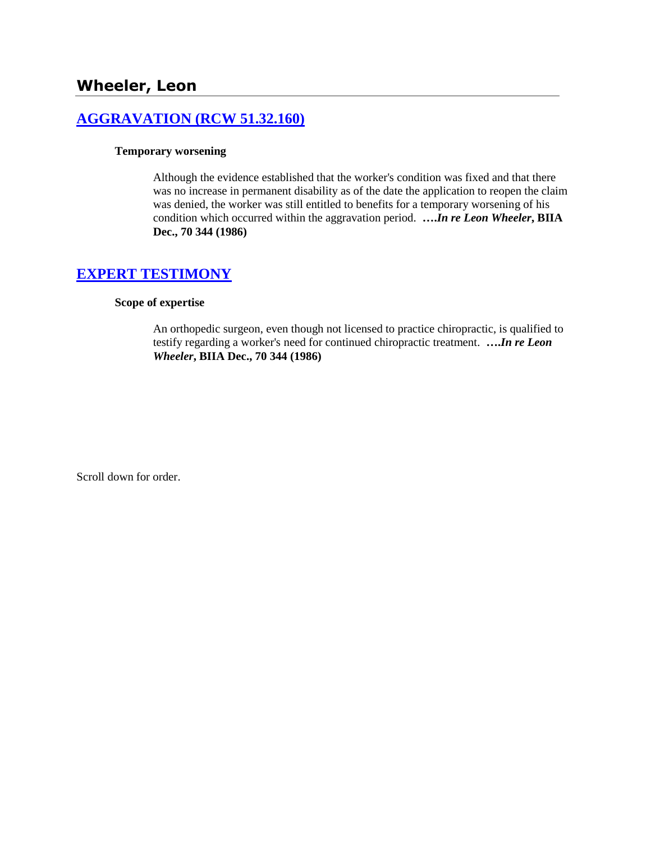# **[AGGRAVATION \(RCW 51.32.160\)](http://www.biia.wa.gov/SDSubjectIndex.html#AGGRAVATION)**

### **Temporary worsening**

Although the evidence established that the worker's condition was fixed and that there was no increase in permanent disability as of the date the application to reopen the claim was denied, the worker was still entitled to benefits for a temporary worsening of his condition which occurred within the aggravation period. **….***In re Leon Wheeler***, BIIA Dec., 70 344 (1986)** 

## **[EXPERT TESTIMONY](http://www.biia.wa.gov/SDSubjectIndex.html#EXPERT_TESTIMONY)**

### **Scope of expertise**

An orthopedic surgeon, even though not licensed to practice chiropractic, is qualified to testify regarding a worker's need for continued chiropractic treatment. **….***In re Leon Wheeler***, BIIA Dec., 70 344 (1986)** 

Scroll down for order.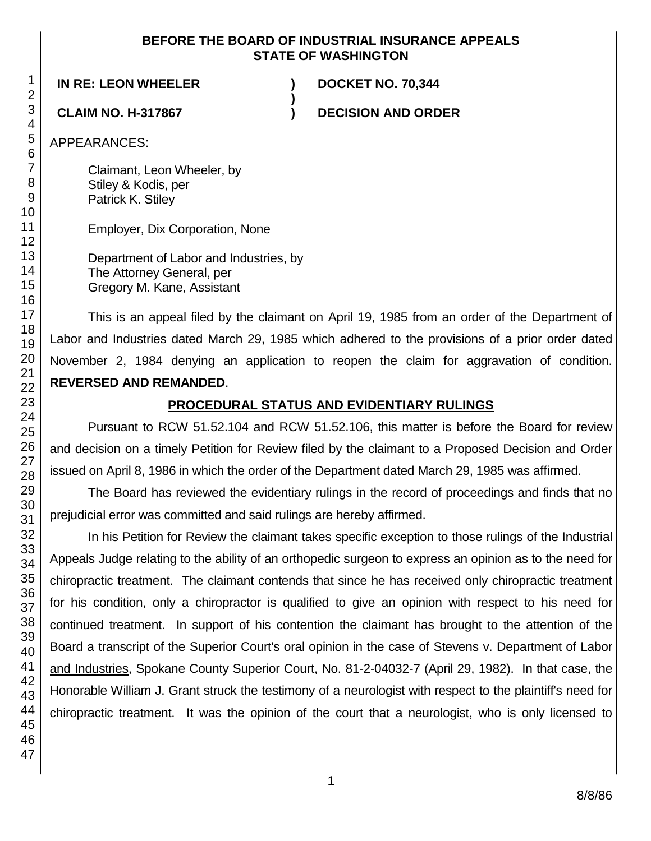### **BEFORE THE BOARD OF INDUSTRIAL INSURANCE APPEALS STATE OF WASHINGTON**

**)**

### **IN RE: LEON WHEELER ) DOCKET NO. 70,344**

**CLAIM NO. H-317867 ) DECISION AND ORDER**

APPEARANCES:

Claimant, Leon Wheeler, by Stiley & Kodis, per Patrick K. Stiley

Employer, Dix Corporation, None

Department of Labor and Industries, by The Attorney General, per Gregory M. Kane, Assistant

This is an appeal filed by the claimant on April 19, 1985 from an order of the Department of Labor and Industries dated March 29, 1985 which adhered to the provisions of a prior order dated November 2, 1984 denying an application to reopen the claim for aggravation of condition. **REVERSED AND REMANDED**.

# **PROCEDURAL STATUS AND EVIDENTIARY RULINGS**

Pursuant to RCW 51.52.104 and RCW 51.52.106, this matter is before the Board for review and decision on a timely Petition for Review filed by the claimant to a Proposed Decision and Order issued on April 8, 1986 in which the order of the Department dated March 29, 1985 was affirmed.

The Board has reviewed the evidentiary rulings in the record of proceedings and finds that no prejudicial error was committed and said rulings are hereby affirmed.

In his Petition for Review the claimant takes specific exception to those rulings of the Industrial Appeals Judge relating to the ability of an orthopedic surgeon to express an opinion as to the need for chiropractic treatment. The claimant contends that since he has received only chiropractic treatment for his condition, only a chiropractor is qualified to give an opinion with respect to his need for continued treatment. In support of his contention the claimant has brought to the attention of the Board a transcript of the Superior Court's oral opinion in the case of Stevens v. Department of Labor and Industries, Spokane County Superior Court, No. 81-2-04032-7 (April 29, 1982). In that case, the Honorable William J. Grant struck the testimony of a neurologist with respect to the plaintiff's need for chiropractic treatment. It was the opinion of the court that a neurologist, who is only licensed to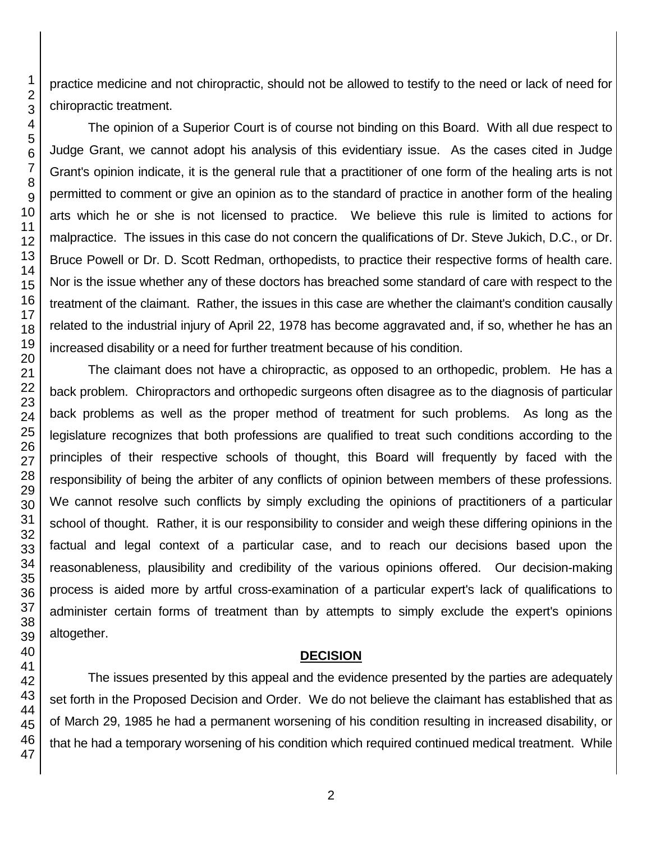practice medicine and not chiropractic, should not be allowed to testify to the need or lack of need for chiropractic treatment.

The opinion of a Superior Court is of course not binding on this Board. With all due respect to Judge Grant, we cannot adopt his analysis of this evidentiary issue. As the cases cited in Judge Grant's opinion indicate, it is the general rule that a practitioner of one form of the healing arts is not permitted to comment or give an opinion as to the standard of practice in another form of the healing arts which he or she is not licensed to practice. We believe this rule is limited to actions for malpractice. The issues in this case do not concern the qualifications of Dr. Steve Jukich, D.C., or Dr. Bruce Powell or Dr. D. Scott Redman, orthopedists, to practice their respective forms of health care. Nor is the issue whether any of these doctors has breached some standard of care with respect to the treatment of the claimant. Rather, the issues in this case are whether the claimant's condition causally related to the industrial injury of April 22, 1978 has become aggravated and, if so, whether he has an increased disability or a need for further treatment because of his condition.

The claimant does not have a chiropractic, as opposed to an orthopedic, problem. He has a back problem. Chiropractors and orthopedic surgeons often disagree as to the diagnosis of particular back problems as well as the proper method of treatment for such problems. As long as the legislature recognizes that both professions are qualified to treat such conditions according to the principles of their respective schools of thought, this Board will frequently by faced with the responsibility of being the arbiter of any conflicts of opinion between members of these professions. We cannot resolve such conflicts by simply excluding the opinions of practitioners of a particular school of thought. Rather, it is our responsibility to consider and weigh these differing opinions in the factual and legal context of a particular case, and to reach our decisions based upon the reasonableness, plausibility and credibility of the various opinions offered. Our decision-making process is aided more by artful cross-examination of a particular expert's lack of qualifications to administer certain forms of treatment than by attempts to simply exclude the expert's opinions altogether.

### **DECISION**

The issues presented by this appeal and the evidence presented by the parties are adequately set forth in the Proposed Decision and Order. We do not believe the claimant has established that as of March 29, 1985 he had a permanent worsening of his condition resulting in increased disability, or that he had a temporary worsening of his condition which required continued medical treatment. While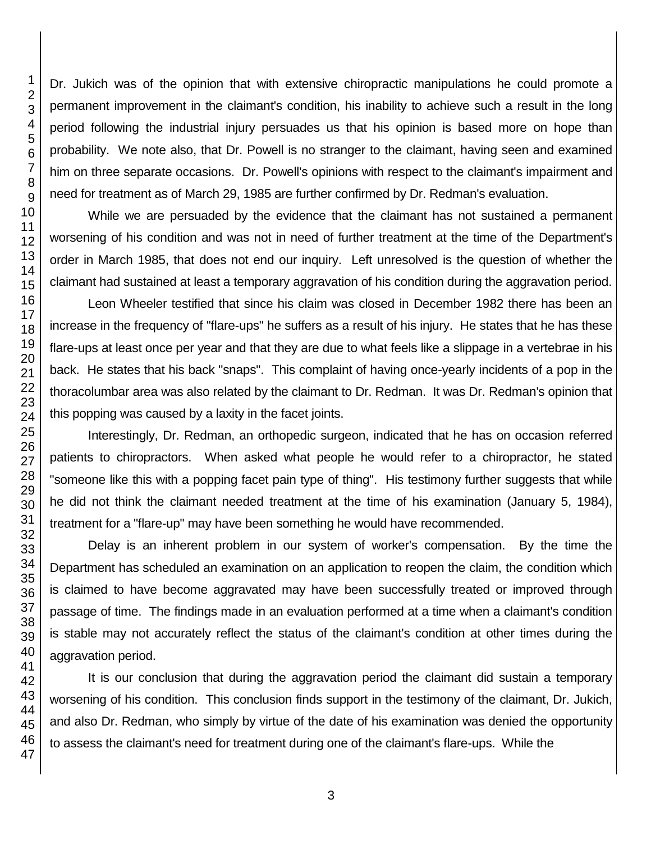Dr. Jukich was of the opinion that with extensive chiropractic manipulations he could promote a permanent improvement in the claimant's condition, his inability to achieve such a result in the long period following the industrial injury persuades us that his opinion is based more on hope than probability. We note also, that Dr. Powell is no stranger to the claimant, having seen and examined him on three separate occasions. Dr. Powell's opinions with respect to the claimant's impairment and need for treatment as of March 29, 1985 are further confirmed by Dr. Redman's evaluation.

While we are persuaded by the evidence that the claimant has not sustained a permanent worsening of his condition and was not in need of further treatment at the time of the Department's order in March 1985, that does not end our inquiry. Left unresolved is the question of whether the claimant had sustained at least a temporary aggravation of his condition during the aggravation period.

Leon Wheeler testified that since his claim was closed in December 1982 there has been an increase in the frequency of "flare-ups" he suffers as a result of his injury. He states that he has these flare-ups at least once per year and that they are due to what feels like a slippage in a vertebrae in his back. He states that his back "snaps". This complaint of having once-yearly incidents of a pop in the thoracolumbar area was also related by the claimant to Dr. Redman. It was Dr. Redman's opinion that this popping was caused by a laxity in the facet joints.

Interestingly, Dr. Redman, an orthopedic surgeon, indicated that he has on occasion referred patients to chiropractors. When asked what people he would refer to a chiropractor, he stated "someone like this with a popping facet pain type of thing". His testimony further suggests that while he did not think the claimant needed treatment at the time of his examination (January 5, 1984), treatment for a "flare-up" may have been something he would have recommended.

Delay is an inherent problem in our system of worker's compensation. By the time the Department has scheduled an examination on an application to reopen the claim, the condition which is claimed to have become aggravated may have been successfully treated or improved through passage of time. The findings made in an evaluation performed at a time when a claimant's condition is stable may not accurately reflect the status of the claimant's condition at other times during the aggravation period.

It is our conclusion that during the aggravation period the claimant did sustain a temporary worsening of his condition. This conclusion finds support in the testimony of the claimant, Dr. Jukich, and also Dr. Redman, who simply by virtue of the date of his examination was denied the opportunity to assess the claimant's need for treatment during one of the claimant's flare-ups. While the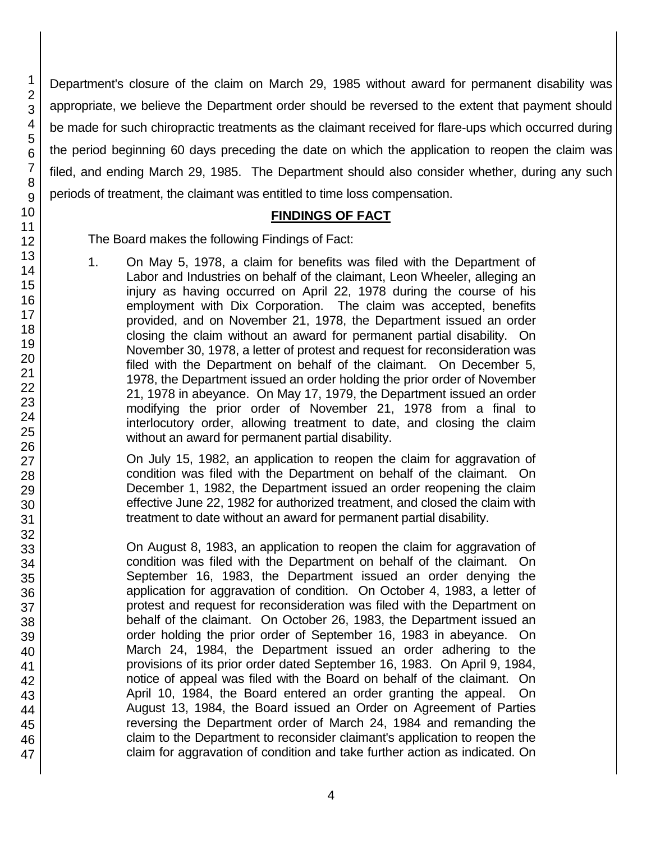Department's closure of the claim on March 29, 1985 without award for permanent disability was appropriate, we believe the Department order should be reversed to the extent that payment should be made for such chiropractic treatments as the claimant received for flare-ups which occurred during the period beginning 60 days preceding the date on which the application to reopen the claim was filed, and ending March 29, 1985. The Department should also consider whether, during any such periods of treatment, the claimant was entitled to time loss compensation.

### **FINDINGS OF FACT**

The Board makes the following Findings of Fact:

1. On May 5, 1978, a claim for benefits was filed with the Department of Labor and Industries on behalf of the claimant, Leon Wheeler, alleging an injury as having occurred on April 22, 1978 during the course of his employment with Dix Corporation. The claim was accepted, benefits provided, and on November 21, 1978, the Department issued an order closing the claim without an award for permanent partial disability. On November 30, 1978, a letter of protest and request for reconsideration was filed with the Department on behalf of the claimant. On December 5, 1978, the Department issued an order holding the prior order of November 21, 1978 in abeyance. On May 17, 1979, the Department issued an order modifying the prior order of November 21, 1978 from a final to interlocutory order, allowing treatment to date, and closing the claim without an award for permanent partial disability.

On July 15, 1982, an application to reopen the claim for aggravation of condition was filed with the Department on behalf of the claimant. On December 1, 1982, the Department issued an order reopening the claim effective June 22, 1982 for authorized treatment, and closed the claim with treatment to date without an award for permanent partial disability.

On August 8, 1983, an application to reopen the claim for aggravation of condition was filed with the Department on behalf of the claimant. On September 16, 1983, the Department issued an order denying the application for aggravation of condition. On October 4, 1983, a letter of protest and request for reconsideration was filed with the Department on behalf of the claimant. On October 26, 1983, the Department issued an order holding the prior order of September 16, 1983 in abeyance. On March 24, 1984, the Department issued an order adhering to the provisions of its prior order dated September 16, 1983. On April 9, 1984, notice of appeal was filed with the Board on behalf of the claimant. On April 10, 1984, the Board entered an order granting the appeal. On August 13, 1984, the Board issued an Order on Agreement of Parties reversing the Department order of March 24, 1984 and remanding the claim to the Department to reconsider claimant's application to reopen the claim for aggravation of condition and take further action as indicated. On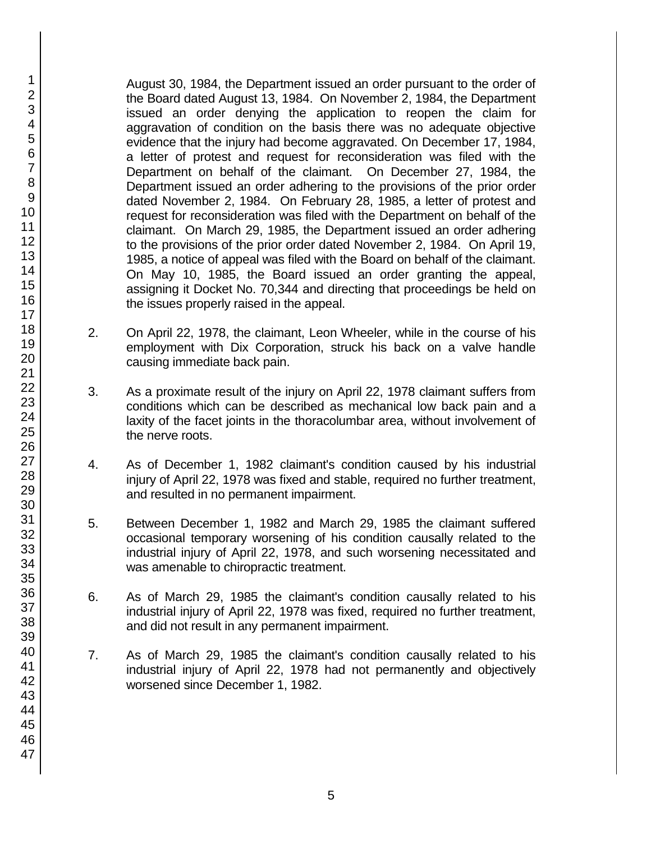August 30, 1984, the Department issued an order pursuant to the order of the Board dated August 13, 1984. On November 2, 1984, the Department issued an order denying the application to reopen the claim for aggravation of condition on the basis there was no adequate objective evidence that the injury had become aggravated. On December 17, 1984, a letter of protest and request for reconsideration was filed with the Department on behalf of the claimant. On December 27, 1984, the Department issued an order adhering to the provisions of the prior order dated November 2, 1984. On February 28, 1985, a letter of protest and request for reconsideration was filed with the Department on behalf of the claimant. On March 29, 1985, the Department issued an order adhering to the provisions of the prior order dated November 2, 1984. On April 19, 1985, a notice of appeal was filed with the Board on behalf of the claimant. On May 10, 1985, the Board issued an order granting the appeal, assigning it Docket No. 70,344 and directing that proceedings be held on the issues properly raised in the appeal.

- 2. On April 22, 1978, the claimant, Leon Wheeler, while in the course of his employment with Dix Corporation, struck his back on a valve handle causing immediate back pain.
- 3. As a proximate result of the injury on April 22, 1978 claimant suffers from conditions which can be described as mechanical low back pain and a laxity of the facet joints in the thoracolumbar area, without involvement of the nerve roots.
- 4. As of December 1, 1982 claimant's condition caused by his industrial injury of April 22, 1978 was fixed and stable, required no further treatment, and resulted in no permanent impairment.
- 5. Between December 1, 1982 and March 29, 1985 the claimant suffered occasional temporary worsening of his condition causally related to the industrial injury of April 22, 1978, and such worsening necessitated and was amenable to chiropractic treatment.
- 6. As of March 29, 1985 the claimant's condition causally related to his industrial injury of April 22, 1978 was fixed, required no further treatment, and did not result in any permanent impairment.
- 7. As of March 29, 1985 the claimant's condition causally related to his industrial injury of April 22, 1978 had not permanently and objectively worsened since December 1, 1982.